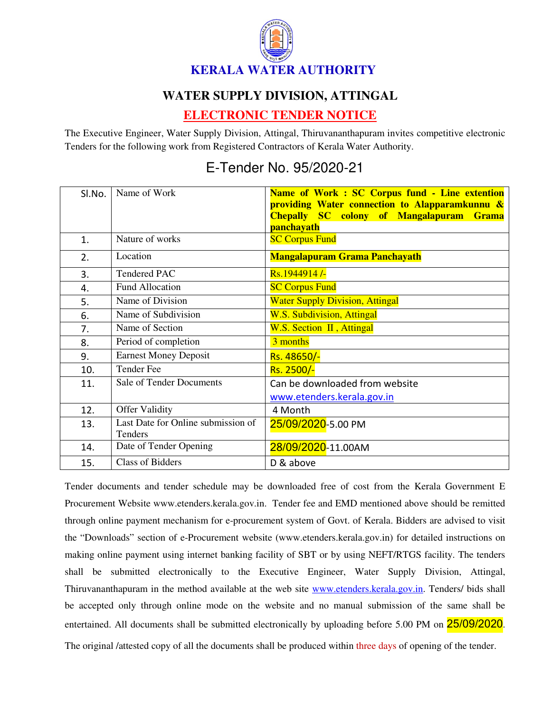

## **WATER SUPPLY DIVISION, ATTINGAL**

## **ELECTRONIC TENDER NOTICE**

The Executive Engineer, Water Supply Division, Attingal, Thiruvananthapuram invites competitive electronic Tenders for the following work from Registered Contractors of Kerala Water Authority.

## E-Tender No. 95/2020-21

| SI.No.         | Name of Work                                  | Name of Work: SC Corpus fund - Line extention<br>providing Water connection to Alapparamkunnu &<br><b>Chepally SC colony of Mangalapuram</b><br><b>Grama</b><br>panchayath |
|----------------|-----------------------------------------------|----------------------------------------------------------------------------------------------------------------------------------------------------------------------------|
| $\mathbf{1}$ . | Nature of works                               | <b>SC Corpus Fund</b>                                                                                                                                                      |
| 2.             | Location                                      | <b>Mangalapuram Grama Panchayath</b>                                                                                                                                       |
| 3.             | <b>Tendered PAC</b>                           | Rs.1944914/-                                                                                                                                                               |
| 4.             | Fund Allocation                               | <b>SC Corpus Fund</b>                                                                                                                                                      |
| 5.             | Name of Division                              | <b>Water Supply Division, Attingal</b>                                                                                                                                     |
| 6.             | Name of Subdivision                           | <b>W.S. Subdivision, Attingal</b>                                                                                                                                          |
| 7.             | Name of Section                               | W.S. Section II, Attingal                                                                                                                                                  |
| 8.             | Period of completion                          | 3 months                                                                                                                                                                   |
| 9.             | <b>Earnest Money Deposit</b>                  | Rs. 48650/-                                                                                                                                                                |
| 10.            | <b>Tender Fee</b>                             | Rs. 2500/-                                                                                                                                                                 |
| 11.            | <b>Sale of Tender Documents</b>               | Can be downloaded from website                                                                                                                                             |
|                |                                               | www.etenders.kerala.gov.in                                                                                                                                                 |
| 12.            | <b>Offer Validity</b>                         | 4 Month                                                                                                                                                                    |
| 13.            | Last Date for Online submission of<br>Tenders | 25/09/2020-5.00 PM                                                                                                                                                         |
| 14.            | Date of Tender Opening                        | 28/09/2020-11.00AM                                                                                                                                                         |
| 15.            | <b>Class of Bidders</b>                       | D & above                                                                                                                                                                  |

Tender documents and tender schedule may be downloaded free of cost from the Kerala Government E Procurement Website www.etenders.kerala.gov.in. Tender fee and EMD mentioned above should be remitted through online payment mechanism for e-procurement system of Govt. of Kerala. Bidders are advised to visit the "Downloads" section of e-Procurement website (www.etenders.kerala.gov.in) for detailed instructions on making online payment using internet banking facility of SBT or by using NEFT/RTGS facility. The tenders shall be submitted electronically to the Executive Engineer, Water Supply Division, Attingal, Thiruvananthapuram in the method available at the web site www.etenders.kerala.gov.in. Tenders/ bids shall be accepted only through online mode on the website and no manual submission of the same shall be entertained. All documents shall be submitted electronically by uploading before 5.00 PM on 25/09/2020.

The original /attested copy of all the documents shall be produced within three days of opening of the tender.